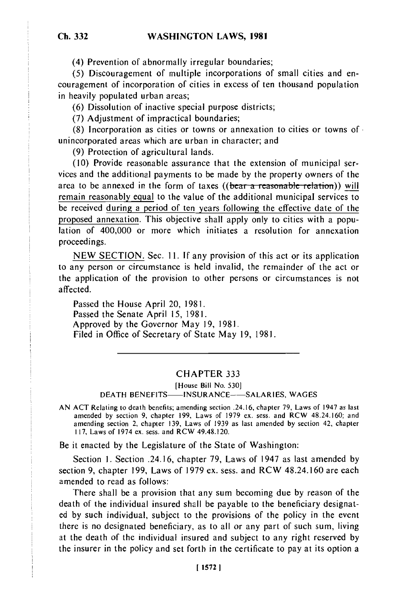(4) Prevention of abnormally irregular boundaries;

(5) Discouragement of multiple incorporations of small cities and encouragement of incorporation of cities in excess of ten thousand population in heavily populated urban areas;

(6) Dissolution of inactive special purpose districts;

(7) Adjustment of impractical boundaries;

(8) Incorporation as cities or towns or annexation to cities or towns of unincorporated areas which are urban in character; and

(9) Protection of agricultural lands.

(10) Provide reasonable assurance that the extension of municipal services and the additional payments to be made by the property owners of the area to be annexed in the form of taxes ((bear a reasonable relation)) will remain reasonably equal to the value of the additional municipal services to be received during a period of ten years following the effective date of the proposed annexation. This objective shall apply only to cities with a population of 400,000 or more which initiates a resolution for annexation proceedings.

NEW SECTION. Sec. 11. If any provision of this act or its application to any person or circumstance is held invalid, the remainder of the act or the application of the provision to other persons or circumstances is not affected.

Passed the House April 20, 1981. Passed the Senate April 15, 1981. Approved by the Governor May 19, 1981. Filed in Office of Secretary of State May 19, 1981.

## CHAPTER **333**

[House Bill No. 530]

DEATH **BENEFITS- INSURANCE--SALARIES, WAGES**

AN ACT Relating to death benefits; amending section .24.16, chapter 79, Laws of 1947 as last amended by section 9, chapter 199, Laws of 1979 ex. sess. and RCW 48.24.160; and amending section 2, chapter 139, Laws of 1939 as last amended by section 42, chapter I 17, Laws of 1974 ex. sess, and RCW 49.48.120.

Be it enacted by the Legislature of the State of Washington:

Section 1. Section .24.16, chapter 79, Laws of 1947 as last amended by section 9, chapter 199, Laws of 1979 ex. sess. and RCW 48.24.160 are each amended to read as follows:

There shall be a provision that any sum becoming due by reason of the death of the individual insured shall be payable to the beneficiary designated by such individual, subject to the provisions of the policy in the event there is no designated beneficiary, as to all or any part of such sum, living at the death of the individual insured and subject to any right reserved by the insurer in the policy and set forth in the certificate to pay at its option a